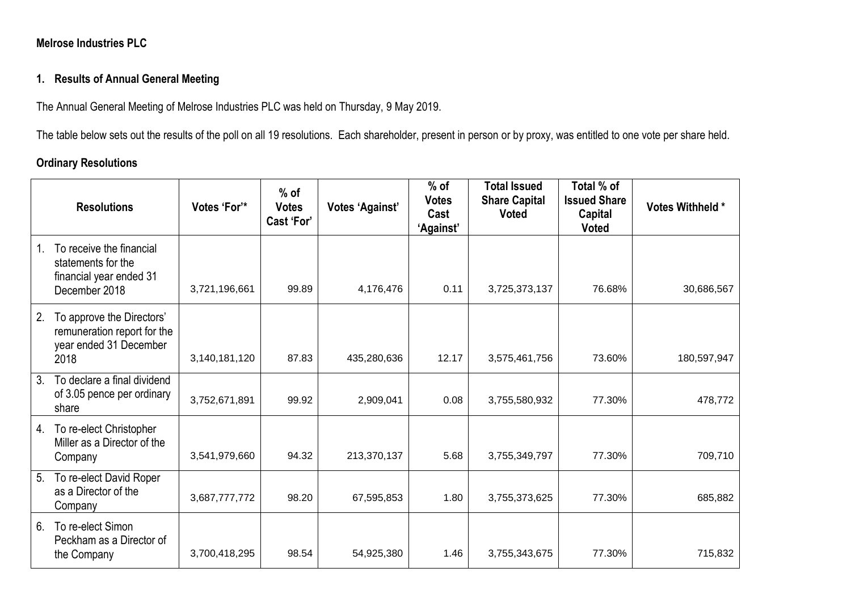### **Melrose Industries PLC**

# **1. Results of Annual General Meeting**

The Annual General Meeting of Melrose Industries PLC was held on Thursday, 9 May 2019.

The table below sets out the results of the poll on all 19 resolutions. Each shareholder, present in person or by proxy, was entitled to one vote per share held.

#### **Ordinary Resolutions**

|         | <b>Resolutions</b>                                                                         | Votes 'For'*  | $%$ of<br><b>Votes</b><br>Cast 'For' | <b>Votes 'Against'</b> | $%$ of<br><b>Votes</b><br>Cast<br>'Against' | <b>Total Issued</b><br><b>Share Capital</b><br><b>Voted</b> | Total % of<br><b>Issued Share</b><br>Capital<br><b>Voted</b> | Votes Withheld * |
|---------|--------------------------------------------------------------------------------------------|---------------|--------------------------------------|------------------------|---------------------------------------------|-------------------------------------------------------------|--------------------------------------------------------------|------------------|
| $1_{-}$ | To receive the financial<br>statements for the<br>financial year ended 31<br>December 2018 | 3,721,196,661 | 99.89                                | 4,176,476              | 0.11                                        | 3,725,373,137                                               | 76.68%                                                       | 30,686,567       |
| 2.      | To approve the Directors'<br>remuneration report for the<br>year ended 31 December<br>2018 | 3,140,181,120 | 87.83                                | 435,280,636            | 12.17                                       | 3,575,461,756                                               | 73.60%                                                       | 180,597,947      |
| 3.      | To declare a final dividend<br>of 3.05 pence per ordinary<br>share                         | 3,752,671,891 | 99.92                                | 2,909,041              | 0.08                                        | 3,755,580,932                                               | 77.30%                                                       | 478,772          |
| 4.      | To re-elect Christopher<br>Miller as a Director of the<br>Company                          | 3,541,979,660 | 94.32                                | 213,370,137            | 5.68                                        | 3,755,349,797                                               | 77.30%                                                       | 709,710          |
| 5.      | To re-elect David Roper<br>as a Director of the<br>Company                                 | 3,687,777,772 | 98.20                                | 67,595,853             | 1.80                                        | 3,755,373,625                                               | 77.30%                                                       | 685,882          |
| 6.      | To re-elect Simon<br>Peckham as a Director of<br>the Company                               | 3,700,418,295 | 98.54                                | 54,925,380             | 1.46                                        | 3,755,343,675                                               | 77.30%                                                       | 715,832          |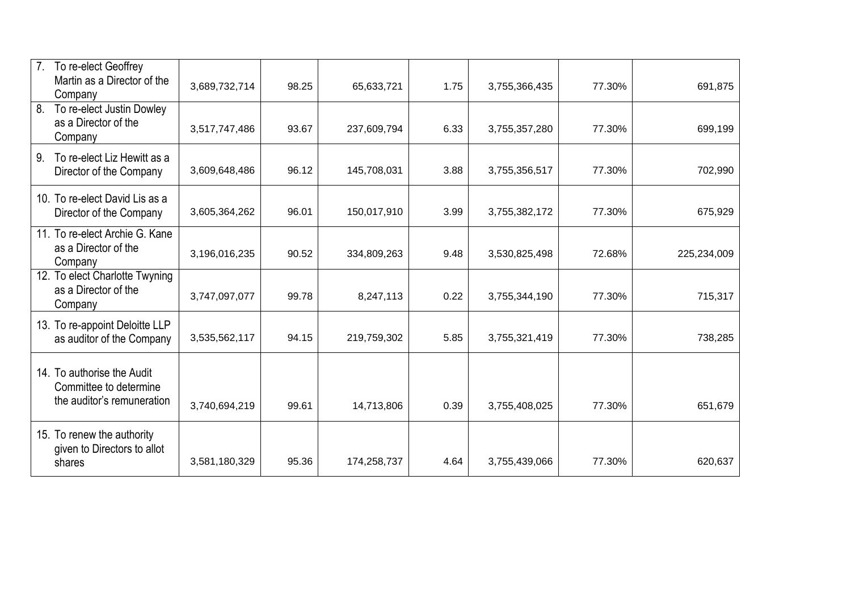| 7 <sub>1</sub><br>To re-elect Geoffrey<br>Martin as a Director of the<br>Company   | 3,689,732,714 | 98.25 | 65,633,721  | 1.75 | 3,755,366,435 | 77.30% | 691,875     |
|------------------------------------------------------------------------------------|---------------|-------|-------------|------|---------------|--------|-------------|
| To re-elect Justin Dowley<br>8.<br>as a Director of the<br>Company                 | 3,517,747,486 | 93.67 | 237,609,794 | 6.33 | 3,755,357,280 | 77.30% | 699,199     |
| To re-elect Liz Hewitt as a<br>9.<br>Director of the Company                       | 3,609,648,486 | 96.12 | 145,708,031 | 3.88 | 3,755,356,517 | 77.30% | 702,990     |
| 10. To re-elect David Lis as a<br>Director of the Company                          | 3,605,364,262 | 96.01 | 150,017,910 | 3.99 | 3,755,382,172 | 77.30% | 675,929     |
| 11. To re-elect Archie G. Kane<br>as a Director of the<br>Company                  | 3,196,016,235 | 90.52 | 334,809,263 | 9.48 | 3,530,825,498 | 72.68% | 225,234,009 |
| 12. To elect Charlotte Twyning<br>as a Director of the<br>Company                  | 3,747,097,077 | 99.78 | 8,247,113   | 0.22 | 3,755,344,190 | 77.30% | 715,317     |
| 13. To re-appoint Deloitte LLP<br>as auditor of the Company                        | 3,535,562,117 | 94.15 | 219,759,302 | 5.85 | 3,755,321,419 | 77.30% | 738,285     |
| 14. To authorise the Audit<br>Committee to determine<br>the auditor's remuneration | 3,740,694,219 | 99.61 | 14,713,806  | 0.39 | 3,755,408,025 | 77.30% | 651,679     |
| 15. To renew the authority<br>given to Directors to allot<br>shares                | 3,581,180,329 | 95.36 | 174,258,737 | 4.64 | 3,755,439,066 | 77.30% | 620,637     |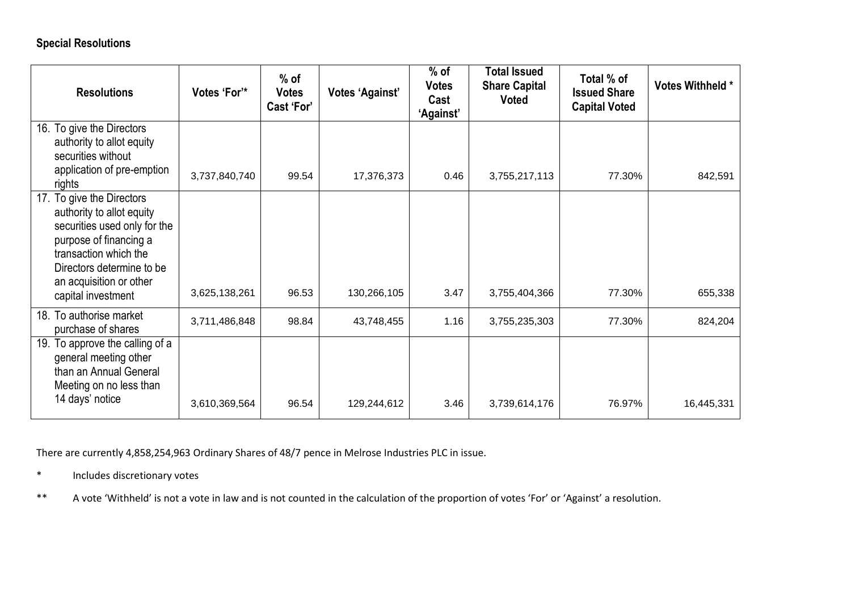# **Special Resolutions**

| <b>Resolutions</b>                                                                                                                                                                                                      | Votes 'For'*  | $%$ of<br><b>Votes</b><br>Cast 'For' | <b>Votes 'Against'</b> | $%$ of<br><b>Votes</b><br>Cast<br>'Against' | <b>Total Issued</b><br><b>Share Capital</b><br><b>Voted</b> | Total % of<br><b>Issued Share</b><br><b>Capital Voted</b> | Votes Withheld * |
|-------------------------------------------------------------------------------------------------------------------------------------------------------------------------------------------------------------------------|---------------|--------------------------------------|------------------------|---------------------------------------------|-------------------------------------------------------------|-----------------------------------------------------------|------------------|
| 16. To give the Directors<br>authority to allot equity<br>securities without<br>application of pre-emption<br>rights                                                                                                    | 3,737,840,740 | 99.54                                | 17,376,373             | 0.46                                        | 3,755,217,113                                               | 77.30%                                                    | 842,591          |
| 17. To give the Directors<br>authority to allot equity<br>securities used only for the<br>purpose of financing a<br>transaction which the<br>Directors determine to be<br>an acquisition or other<br>capital investment | 3,625,138,261 | 96.53                                | 130,266,105            | 3.47                                        | 3,755,404,366                                               | 77.30%                                                    | 655,338          |
| 18. To authorise market<br>purchase of shares                                                                                                                                                                           | 3,711,486,848 | 98.84                                | 43,748,455             | 1.16                                        | 3,755,235,303                                               | 77.30%                                                    | 824,204          |
| 19. To approve the calling of a<br>general meeting other<br>than an Annual General<br>Meeting on no less than<br>14 days' notice                                                                                        | 3,610,369,564 | 96.54                                | 129,244,612            | 3.46                                        | 3,739,614,176                                               | 76.97%                                                    | 16,445,331       |

There are currently 4,858,254,963 Ordinary Shares of 48/7 pence in Melrose Industries PLC in issue.

\* Includes discretionary votes

\*\* A vote 'Withheld' is not a vote in law and is not counted in the calculation of the proportion of votes 'For' or 'Against' a resolution.